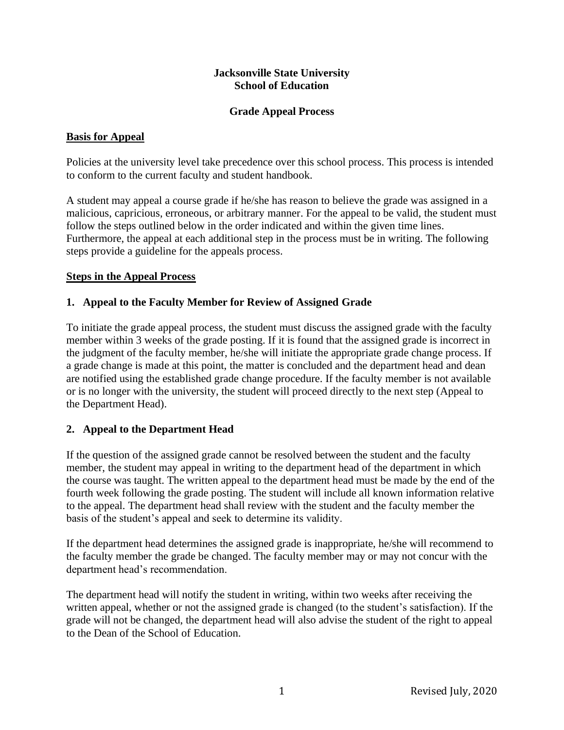### **Jacksonville State University School of Education**

### **Grade Appeal Process**

## **Basis for Appeal**

Policies at the university level take precedence over this school process. This process is intended to conform to the current faculty and student handbook.

A student may appeal a course grade if he/she has reason to believe the grade was assigned in a malicious, capricious, erroneous, or arbitrary manner. For the appeal to be valid, the student must follow the steps outlined below in the order indicated and within the given time lines. Furthermore, the appeal at each additional step in the process must be in writing. The following steps provide a guideline for the appeals process.

### **Steps in the Appeal Process**

### **1. Appeal to the Faculty Member for Review of Assigned Grade**

To initiate the grade appeal process, the student must discuss the assigned grade with the faculty member within 3 weeks of the grade posting. If it is found that the assigned grade is incorrect in the judgment of the faculty member, he/she will initiate the appropriate grade change process. If a grade change is made at this point, the matter is concluded and the department head and dean are notified using the established grade change procedure. If the faculty member is not available or is no longer with the university, the student will proceed directly to the next step (Appeal to the Department Head).

## **2. Appeal to the Department Head**

If the question of the assigned grade cannot be resolved between the student and the faculty member, the student may appeal in writing to the department head of the department in which the course was taught. The written appeal to the department head must be made by the end of the fourth week following the grade posting. The student will include all known information relative to the appeal. The department head shall review with the student and the faculty member the basis of the student's appeal and seek to determine its validity.

If the department head determines the assigned grade is inappropriate, he/she will recommend to the faculty member the grade be changed. The faculty member may or may not concur with the department head's recommendation.

The department head will notify the student in writing, within two weeks after receiving the written appeal, whether or not the assigned grade is changed (to the student's satisfaction). If the grade will not be changed, the department head will also advise the student of the right to appeal to the Dean of the School of Education.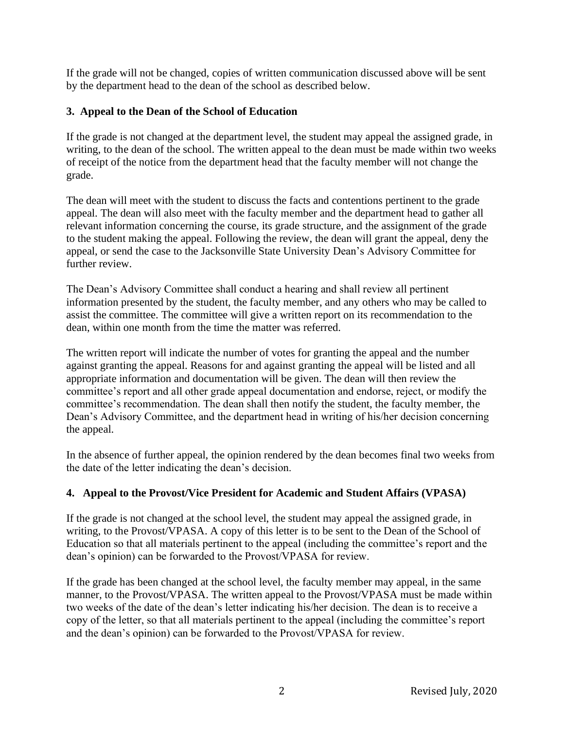If the grade will not be changed, copies of written communication discussed above will be sent by the department head to the dean of the school as described below.

# **3. Appeal to the Dean of the School of Education**

If the grade is not changed at the department level, the student may appeal the assigned grade, in writing, to the dean of the school. The written appeal to the dean must be made within two weeks of receipt of the notice from the department head that the faculty member will not change the grade.

The dean will meet with the student to discuss the facts and contentions pertinent to the grade appeal. The dean will also meet with the faculty member and the department head to gather all relevant information concerning the course, its grade structure, and the assignment of the grade to the student making the appeal. Following the review, the dean will grant the appeal, deny the appeal, or send the case to the Jacksonville State University Dean's Advisory Committee for further review.

The Dean's Advisory Committee shall conduct a hearing and shall review all pertinent information presented by the student, the faculty member, and any others who may be called to assist the committee. The committee will give a written report on its recommendation to the dean, within one month from the time the matter was referred.

The written report will indicate the number of votes for granting the appeal and the number against granting the appeal. Reasons for and against granting the appeal will be listed and all appropriate information and documentation will be given. The dean will then review the committee's report and all other grade appeal documentation and endorse, reject, or modify the committee's recommendation. The dean shall then notify the student, the faculty member, the Dean's Advisory Committee, and the department head in writing of his/her decision concerning the appeal.

In the absence of further appeal, the opinion rendered by the dean becomes final two weeks from the date of the letter indicating the dean's decision.

# **4. Appeal to the Provost/Vice President for Academic and Student Affairs (VPASA)**

If the grade is not changed at the school level, the student may appeal the assigned grade, in writing, to the Provost/VPASA. A copy of this letter is to be sent to the Dean of the School of Education so that all materials pertinent to the appeal (including the committee's report and the dean's opinion) can be forwarded to the Provost/VPASA for review.

If the grade has been changed at the school level, the faculty member may appeal, in the same manner, to the Provost/VPASA. The written appeal to the Provost/VPASA must be made within two weeks of the date of the dean's letter indicating his/her decision. The dean is to receive a copy of the letter, so that all materials pertinent to the appeal (including the committee's report and the dean's opinion) can be forwarded to the Provost/VPASA for review.